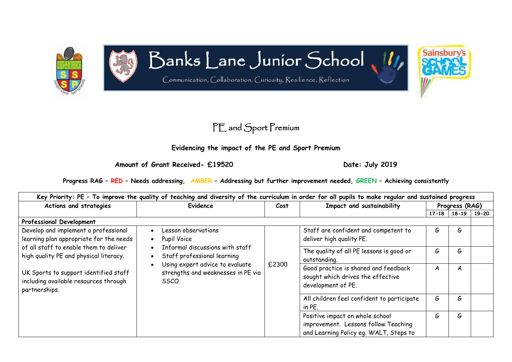

## Banks Lane Junior School

Communication, Collaboration, Curiosity, Resilience, Reflection



## **Evidencing the impact of the PE and Sport Premium**

Amount of Grant Received- £19520 Date: July 2019

Sainsbury

**Progress RAG – RED – Needs addressing, AMBER – Addressing but further improvement needed, GREEN – Achieving consistently**

| Key Priority: PE - To improve the quality of teaching and diversity of the curriculum in order for all pupils to make regular and sustained progress |                                                                                                                                                               |      |                                                                                                                   |                                                                                                 |                |       |  |
|------------------------------------------------------------------------------------------------------------------------------------------------------|---------------------------------------------------------------------------------------------------------------------------------------------------------------|------|-------------------------------------------------------------------------------------------------------------------|-------------------------------------------------------------------------------------------------|----------------|-------|--|
| Actions and strategies                                                                                                                               | Evidence                                                                                                                                                      | Cost | Impact and sustainability                                                                                         |                                                                                                 | Progress (RAG) |       |  |
|                                                                                                                                                      |                                                                                                                                                               |      |                                                                                                                   | $17 - 18$                                                                                       | $18 - 19$      | 19-20 |  |
| Professional Development                                                                                                                             |                                                                                                                                                               |      |                                                                                                                   |                                                                                                 |                |       |  |
| Develop and implement a professional<br>learning plan appropriate for the needs                                                                      | Lesson observations<br>Pupil Voice<br>$\bullet$                                                                                                               |      | Staff are confident and competent to<br>deliver high quality PE.                                                  | G                                                                                               | G              |       |  |
| of all staff to enable them to deliver<br>high quality PE and physical literacy.                                                                     | Informal discussions with staff<br>Staff professional learning<br>Using expert advice to evaluate<br>strengths and weaknesses in PE via<br><i><b>SSCO</b></i> |      | The quality of all PE lessons is good or<br>outstanding.                                                          | G                                                                                               | G              |       |  |
| UK Sports to support identified staff<br>including available resources through<br>partnerships.                                                      |                                                                                                                                                               |      | £2300                                                                                                             | Good practice is shared and feedback<br>sought which drives the effective<br>development of PE. | A              | A     |  |
|                                                                                                                                                      |                                                                                                                                                               |      | All children feel confident to participate<br>in PE.                                                              | G                                                                                               | G              |       |  |
|                                                                                                                                                      |                                                                                                                                                               |      | Positive impact on whole school<br>improvement. Lessons follow Teaching<br>and Learning Policy eg. WALT, Steps to | G                                                                                               | G              |       |  |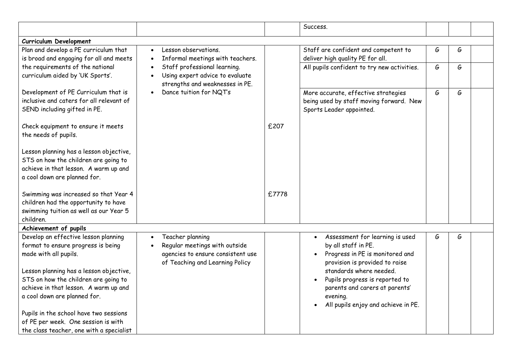|                                                                                                                                                                                                                                 |                                                                                                                           |       | Success.                                                                                                                                                                                                                                                          |   |   |  |
|---------------------------------------------------------------------------------------------------------------------------------------------------------------------------------------------------------------------------------|---------------------------------------------------------------------------------------------------------------------------|-------|-------------------------------------------------------------------------------------------------------------------------------------------------------------------------------------------------------------------------------------------------------------------|---|---|--|
| Curriculum Development                                                                                                                                                                                                          |                                                                                                                           |       |                                                                                                                                                                                                                                                                   |   |   |  |
| Plan and develop a PE curriculum that<br>is broad and engaging for all and meets                                                                                                                                                | Lesson observations<br>$\bullet$<br>Informal meetings with teachers.<br>$\bullet$                                         |       | Staff are confident and competent to<br>deliver high quality PE for all.                                                                                                                                                                                          | G | G |  |
| the requirements of the national<br>curriculum aided by 'UK Sports'.                                                                                                                                                            | Staff professional learning.<br>$\bullet$<br>Using expert advice to evaluate<br>strengths and weaknesses in PE.           |       | All pupils confident to try new activities.                                                                                                                                                                                                                       | G | G |  |
| Development of PE Curriculum that is<br>inclusive and caters for all relevant of<br>SEND including gifted in PE.                                                                                                                | Dance tuition for NQT's                                                                                                   |       | More accurate, effective strategies<br>being used by staff moving forward. New<br>Sports Leader appointed.                                                                                                                                                        | G | G |  |
| Check equipment to ensure it meets<br>the needs of pupils.                                                                                                                                                                      |                                                                                                                           | £207  |                                                                                                                                                                                                                                                                   |   |   |  |
| Lesson planning has a lesson objective,<br>STS on how the children are going to<br>achieve in that lesson. A warm up and<br>a cool down are planned for.                                                                        |                                                                                                                           |       |                                                                                                                                                                                                                                                                   |   |   |  |
| Swimming was increased so that Year 4<br>children had the opportunity to have<br>swimming tuition as well as our Year 5<br>children.                                                                                            |                                                                                                                           | £7778 |                                                                                                                                                                                                                                                                   |   |   |  |
| Achievement of pupils                                                                                                                                                                                                           |                                                                                                                           |       |                                                                                                                                                                                                                                                                   |   |   |  |
| Develop an effective lesson planning<br>format to ensure progress is being<br>made with all pupils.<br>Lesson planning has a lesson objective,<br>STS on how the children are going to<br>achieve in that lesson. A warm up and | Teacher planning<br>Regular meetings with outside<br>agencies to ensure consistent use<br>of Teaching and Learning Policy |       | Assessment for learning is used<br>$\bullet$<br>by all staff in PE.<br>Progress in PE is monitored and<br>$\bullet$<br>provision is provided to raise<br>standards where needed.<br>Pupils progress is reported to<br>$\bullet$<br>parents and carers at parents' | G | G |  |
| a cool down are planned for.<br>Pupils in the school have two sessions<br>of PE per week. One session is with<br>the class teacher, one with a specialist                                                                       |                                                                                                                           |       | evening.<br>All pupils enjoy and achieve in PE.                                                                                                                                                                                                                   |   |   |  |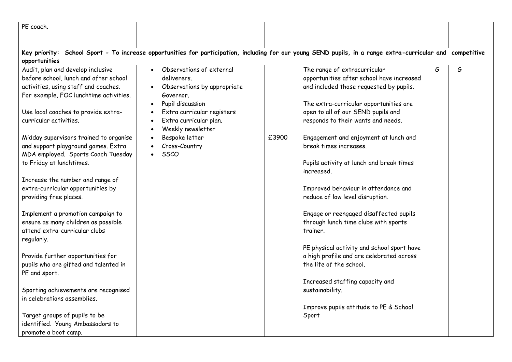| PE coach.                              |                                          |       |                                                                                                                                                            |   |   |  |
|----------------------------------------|------------------------------------------|-------|------------------------------------------------------------------------------------------------------------------------------------------------------------|---|---|--|
|                                        |                                          |       |                                                                                                                                                            |   |   |  |
|                                        |                                          |       | Key priority: School Sport - To increase opportunities for participation, including for our young SEND pupils, in a range extra-curricular and competitive |   |   |  |
| opportunities                          |                                          |       |                                                                                                                                                            |   |   |  |
| Audit, plan and develop inclusive      | Observations of external                 |       | The range of extracurricular                                                                                                                               | G | G |  |
| before school, lunch and after school  | deliverers.                              |       | opportunities after school have increased                                                                                                                  |   |   |  |
| activities, using staff and coaches.   | Observations by appropriate<br>$\bullet$ |       | and included those requested by pupils.                                                                                                                    |   |   |  |
| For example, FOC lunchtime activities. | Governor.                                |       |                                                                                                                                                            |   |   |  |
|                                        | Pupil discussion<br>$\bullet$            |       | The extra-curricular opportunities are                                                                                                                     |   |   |  |
| Use local coaches to provide extra-    | Extra curricular registers               |       | open to all of our SEND pupils and                                                                                                                         |   |   |  |
| curricular activities.                 | Extra curricular plan.                   |       | responds to their wants and needs.                                                                                                                         |   |   |  |
|                                        | Weekly newsletter<br>$\bullet$           |       |                                                                                                                                                            |   |   |  |
| Midday supervisors trained to organise | Bespoke letter                           | £3900 | Engagement and enjoyment at lunch and                                                                                                                      |   |   |  |
| and support playground games. Extra    | Cross-Country                            |       | break times increases.                                                                                                                                     |   |   |  |
| MDA employed. Sports Coach Tuesday     | SSCO                                     |       |                                                                                                                                                            |   |   |  |
| to Friday at lunchtimes.               |                                          |       | Pupils activity at lunch and break times                                                                                                                   |   |   |  |
|                                        |                                          |       | increased.                                                                                                                                                 |   |   |  |
| Increase the number and range of       |                                          |       |                                                                                                                                                            |   |   |  |
| extra-curricular opportunities by      |                                          |       | Improved behaviour in attendance and                                                                                                                       |   |   |  |
| providing free places.                 |                                          |       | reduce of low level disruption.                                                                                                                            |   |   |  |
|                                        |                                          |       |                                                                                                                                                            |   |   |  |
| Implement a promotion campaign to      |                                          |       | Engage or reengaged disaffected pupils                                                                                                                     |   |   |  |
| ensure as many children as possible    |                                          |       | through lunch time clubs with sports                                                                                                                       |   |   |  |
| attend extra-curricular clubs          |                                          |       | trainer.                                                                                                                                                   |   |   |  |
| regularly.                             |                                          |       |                                                                                                                                                            |   |   |  |
|                                        |                                          |       | PE physical activity and school sport have                                                                                                                 |   |   |  |
| Provide further opportunities for      |                                          |       | a high profile and are celebrated across                                                                                                                   |   |   |  |
| pupils who are gifted and talented in  |                                          |       | the life of the school.                                                                                                                                    |   |   |  |
| PE and sport.                          |                                          |       |                                                                                                                                                            |   |   |  |
|                                        |                                          |       | Increased staffing capacity and                                                                                                                            |   |   |  |
| Sporting achievements are recognised   |                                          |       | sustainability.                                                                                                                                            |   |   |  |
| in celebrations assemblies.            |                                          |       |                                                                                                                                                            |   |   |  |
|                                        |                                          |       | Improve pupils attitude to PE & School                                                                                                                     |   |   |  |
| Target groups of pupils to be          |                                          |       | Sport                                                                                                                                                      |   |   |  |
| identified. Young Ambassadors to       |                                          |       |                                                                                                                                                            |   |   |  |
| promote a boot camp.                   |                                          |       |                                                                                                                                                            |   |   |  |
|                                        |                                          |       |                                                                                                                                                            |   |   |  |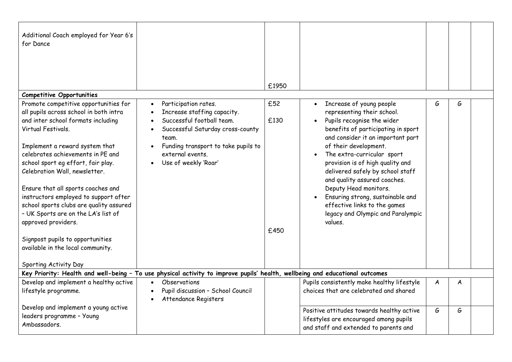| Additional Coach employed for Year 6's<br>for Dance<br><b>Competitive Opportunities</b><br>Promote competitive opportunities for<br>all pupils across school in both intra<br>and inter school formats including<br>Virtual Festivals.<br>Implement a reward system that<br>celebrates achievements in PE and<br>school sport eg effort, fair play.<br>Celebration Wall, newsletter.<br>Ensure that all sports coaches and<br>instructors employed to support after<br>school sports clubs are quality assured<br>- UK Sports are on the LA's list of<br>approved providers.<br>Signpost pupils to opportunities<br>available in the local community. | Participation rates.<br>$\bullet$<br>Increase staffing capacity.<br>$\bullet$<br>Successful football team.<br>Successful Saturday cross-county<br>team.<br>Funding transport to take pupils to<br>external events.<br>Use of weekly 'Roar' | £1950<br>£52<br>£130<br>£450 | Increase of young people<br>$\bullet$<br>representing their school.<br>Pupils recognise the wider<br>$\bullet$<br>benefits of participating in sport<br>and consider it an important part<br>of their development.<br>The extra-curricular sport<br>$\bullet$<br>provision is of high quality and<br>delivered safely by school staff<br>and quality assured coaches.<br>Deputy Head monitors.<br>Ensuring strong, sustainable and<br>effective links to the games<br>legacy and Olympic and Paralympic<br>values. | G | G |  |
|-------------------------------------------------------------------------------------------------------------------------------------------------------------------------------------------------------------------------------------------------------------------------------------------------------------------------------------------------------------------------------------------------------------------------------------------------------------------------------------------------------------------------------------------------------------------------------------------------------------------------------------------------------|--------------------------------------------------------------------------------------------------------------------------------------------------------------------------------------------------------------------------------------------|------------------------------|--------------------------------------------------------------------------------------------------------------------------------------------------------------------------------------------------------------------------------------------------------------------------------------------------------------------------------------------------------------------------------------------------------------------------------------------------------------------------------------------------------------------|---|---|--|
| Sporting Activity Day                                                                                                                                                                                                                                                                                                                                                                                                                                                                                                                                                                                                                                 |                                                                                                                                                                                                                                            |                              |                                                                                                                                                                                                                                                                                                                                                                                                                                                                                                                    |   |   |  |
|                                                                                                                                                                                                                                                                                                                                                                                                                                                                                                                                                                                                                                                       | Key Priority: Health and well-being - To use physical activity to improve pupils' health, wellbeing and educational outcomes                                                                                                               |                              |                                                                                                                                                                                                                                                                                                                                                                                                                                                                                                                    |   |   |  |
| Develop and implement a healthy active<br>lifestyle programme.                                                                                                                                                                                                                                                                                                                                                                                                                                                                                                                                                                                        | Observations<br>Pupil discussion - School Council<br>Attendance Registers                                                                                                                                                                  |                              | Pupils consistently make healthy lifestyle<br>choices that are celebrated and shared                                                                                                                                                                                                                                                                                                                                                                                                                               | A | A |  |
| Develop and implement a young active<br>leaders programme - Young<br>Ambassadors.                                                                                                                                                                                                                                                                                                                                                                                                                                                                                                                                                                     |                                                                                                                                                                                                                                            |                              | Positive attitudes towards healthy active<br>lifestyles are encouraged among pupils<br>and staff and extended to parents and                                                                                                                                                                                                                                                                                                                                                                                       | G | G |  |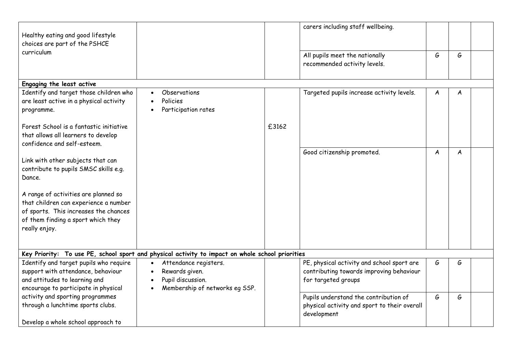| Healthy eating and good lifestyle<br>choices are part of the PSHCE                                                                                                            |                                                                                                             |       | carers including staff wellbeing.                                                                             |   |   |  |
|-------------------------------------------------------------------------------------------------------------------------------------------------------------------------------|-------------------------------------------------------------------------------------------------------------|-------|---------------------------------------------------------------------------------------------------------------|---|---|--|
| curriculum                                                                                                                                                                    |                                                                                                             |       | All pupils meet the nationally<br>recommended activity levels.                                                | G | G |  |
| Engaging the least active                                                                                                                                                     |                                                                                                             |       |                                                                                                               |   |   |  |
| Identify and target those children who<br>are least active in a physical activity<br>programme.                                                                               | Observations<br>$\bullet$<br>Policies<br>Participation rates                                                |       | Targeted pupils increase activity levels.                                                                     | A | A |  |
| Forest School is a fantastic initiative<br>that allows all learners to develop<br>confidence and self-esteem.                                                                 |                                                                                                             | £3162 |                                                                                                               |   |   |  |
| Link with other subjects that can<br>contribute to pupils SMSC skills e.g.<br>Dance.                                                                                          |                                                                                                             |       | Good citizenship promoted.                                                                                    | A | A |  |
| A range of activities are planned so<br>that children can experience a number<br>of sports. This increases the chances<br>of them finding a sport which they<br>really enjoy. |                                                                                                             |       |                                                                                                               |   |   |  |
|                                                                                                                                                                               | Key Priority: To use PE, school sport and physical activity to impact on whole school priorities            |       |                                                                                                               |   |   |  |
| Identify and target pupils who require<br>support with attendance, behaviour<br>and attitudes to learning and<br>encourage to participate in physical                         | Attendance registers.<br>$\bullet$<br>Rewards given.<br>Pupil discussion.<br>Membership of networks eg SSP. |       | PE, physical activity and school sport are<br>contributing towards improving behaviour<br>for targeted groups | G | G |  |
| activity and sporting programmes<br>through a lunchtime sports clubs.<br>Develop a whole school approach to                                                                   |                                                                                                             |       | Pupils understand the contribution of<br>physical activity and sport to their overall<br>development          | G | G |  |